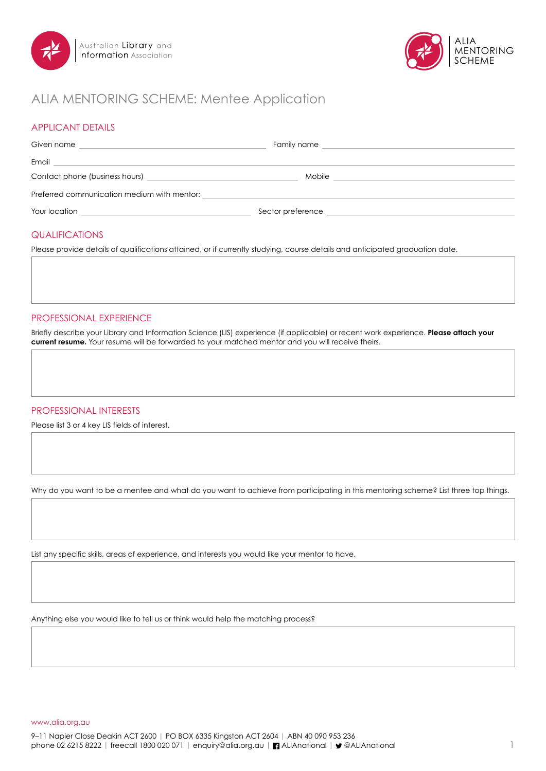



# ALIA MENTORING SCHEME: Mentee Application

### APPLICANT DETAILS

| Given name                                  | Family name that the contract of the contract of the contract of the contract of the contract of the contract of the contract of the contract of the contract of the contract of the contract of the contract of the contract |
|---------------------------------------------|-------------------------------------------------------------------------------------------------------------------------------------------------------------------------------------------------------------------------------|
| Email                                       |                                                                                                                                                                                                                               |
|                                             | Mobile                                                                                                                                                                                                                        |
| Preferred communication medium with mentor: |                                                                                                                                                                                                                               |
| Your location                               | Sector preference                                                                                                                                                                                                             |

### QUALIFICATIONS

Please provide details of qualifications attained, or if currently studying, course details and anticipated graduation date.

### PROFESSIONAL EXPERIENCE

Briefly describe your Library and Information Science (LIS) experience (if applicable) or recent work experience. **Please attach your current resume.** Your resume will be forwarded to your matched mentor and you will receive theirs.

#### PROFESSIONAL INTERESTS

Please list 3 or 4 key LIS fields of interest.

Why do you want to be a mentee and what do you want to achieve from participating in this mentoring scheme? List three top things.

List any specific skills, areas of experience, and interests you would like your mentor to have.

Anything else you would like to tell us or think would help the matching process?